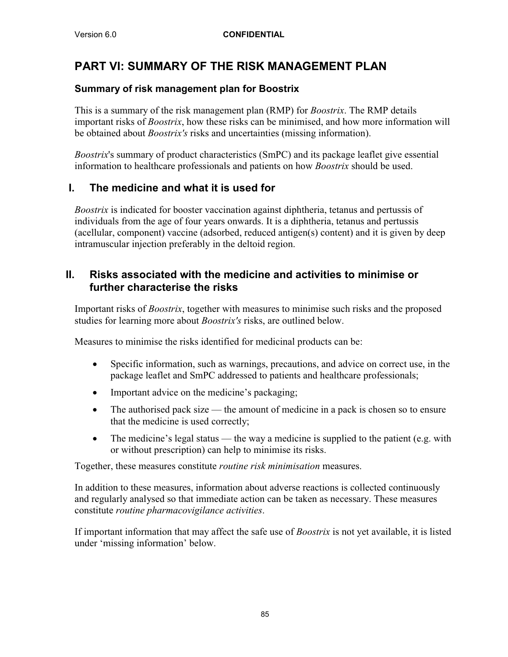# **PART VI: SUMMARY OF THE RISK MANAGEMENT PLAN**

### **Summary of risk management plan for Boostrix**

This is a summary of the risk management plan (RMP) for *Boostrix*. The RMP details important risks of *Boostrix*, how these risks can be minimised, and how more information will be obtained about *Boostrix's* risks and uncertainties (missing information).

*Boostrix*'s summary of product characteristics (SmPC) and its package leaflet give essential information to healthcare professionals and patients on how *Boostrix* should be used.

## **I. The medicine and what it is used for**

*Boostrix* is indicated for booster vaccination against diphtheria, tetanus and pertussis of individuals from the age of four years onwards. It is a diphtheria, tetanus and pertussis (acellular, component) vaccine (adsorbed, reduced antigen(s) content) and it is given by deep intramuscular injection preferably in the deltoid region.

### **II. Risks associated with the medicine and activities to minimise or further characterise the risks**

Important risks of *Boostrix*, together with measures to minimise such risks and the proposed studies for learning more about *Boostrix's* risks, are outlined below.

Measures to minimise the risks identified for medicinal products can be:

- Specific information, such as warnings, precautions, and advice on correct use, in the package leaflet and SmPC addressed to patients and healthcare professionals;
- Important advice on the medicine's packaging;
- The authorised pack size the amount of medicine in a pack is chosen so to ensure that the medicine is used correctly;
- $\bullet$  The medicine's legal status the way a medicine is supplied to the patient (e.g. with or without prescription) can help to minimise its risks.

Together, these measures constitute *routine risk minimisation* measures.

In addition to these measures, information about adverse reactions is collected continuously and regularly analysed so that immediate action can be taken as necessary. These measures constitute *routine pharmacovigilance activities*.

If important information that may affect the safe use of *Boostrix* is not yet available, it is listed under 'missing information' below.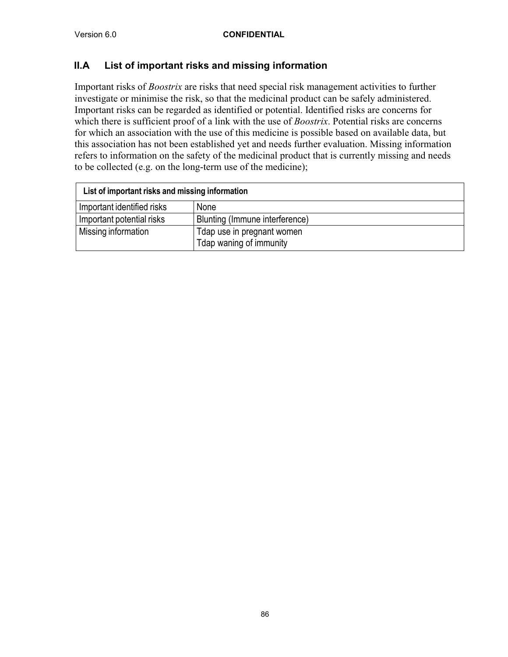### **II.A List of important risks and missing information**

Important risks of *Boostrix* are risks that need special risk management activities to further investigate or minimise the risk, so that the medicinal product can be safely administered. Important risks can be regarded as identified or potential. Identified risks are concerns for which there is sufficient proof of a link with the use of *Boostrix*. Potential risks are concerns for which an association with the use of this medicine is possible based on available data, but this association has not been established yet and needs further evaluation. Missing information refers to information on the safety of the medicinal product that is currently missing and needs to be collected (e.g. on the long-term use of the medicine);

| List of important risks and missing information |                                                       |  |
|-------------------------------------------------|-------------------------------------------------------|--|
| Important identified risks                      | <b>None</b>                                           |  |
| Important potential risks                       | Blunting (Immune interference)                        |  |
| Missing information                             | Tdap use in pregnant women<br>Tdap waning of immunity |  |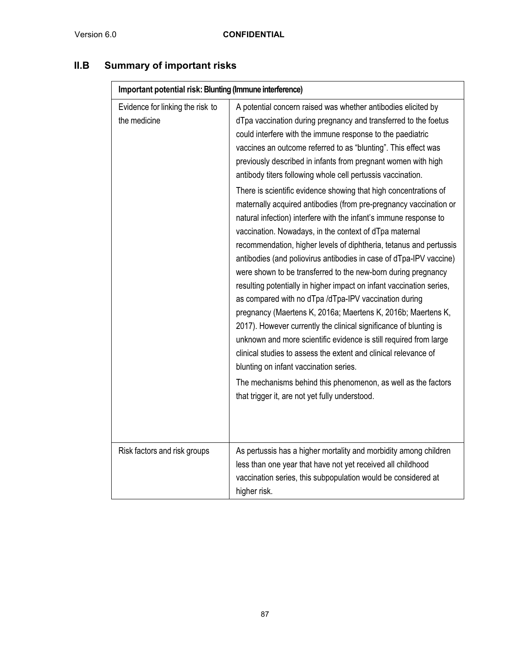| II.B<br><b>Summary of important risks</b> |
|-------------------------------------------|
|-------------------------------------------|

| Important potential risk: Blunting (Immune interference) |                                                                                                                                                                                                                                                                                                                                                                                                                                                                                                                                                                                                                                                                                                                                                                                                                                                                                                                                                                                                                                                                                                                                                                                                                                                                                                                                                                                                                                                                  |  |  |  |
|----------------------------------------------------------|------------------------------------------------------------------------------------------------------------------------------------------------------------------------------------------------------------------------------------------------------------------------------------------------------------------------------------------------------------------------------------------------------------------------------------------------------------------------------------------------------------------------------------------------------------------------------------------------------------------------------------------------------------------------------------------------------------------------------------------------------------------------------------------------------------------------------------------------------------------------------------------------------------------------------------------------------------------------------------------------------------------------------------------------------------------------------------------------------------------------------------------------------------------------------------------------------------------------------------------------------------------------------------------------------------------------------------------------------------------------------------------------------------------------------------------------------------------|--|--|--|
| Evidence for linking the risk to<br>the medicine         | A potential concern raised was whether antibodies elicited by<br>dTpa vaccination during pregnancy and transferred to the foetus<br>could interfere with the immune response to the paediatric<br>vaccines an outcome referred to as "blunting". This effect was<br>previously described in infants from pregnant women with high<br>antibody titers following whole cell pertussis vaccination.<br>There is scientific evidence showing that high concentrations of<br>maternally acquired antibodies (from pre-pregnancy vaccination or<br>natural infection) interfere with the infant's immune response to<br>vaccination. Nowadays, in the context of dTpa maternal<br>recommendation, higher levels of diphtheria, tetanus and pertussis<br>antibodies (and poliovirus antibodies in case of dTpa-IPV vaccine)<br>were shown to be transferred to the new-born during pregnancy<br>resulting potentially in higher impact on infant vaccination series,<br>as compared with no dTpa /dTpa-IPV vaccination during<br>pregnancy (Maertens K, 2016a; Maertens K, 2016b; Maertens K,<br>2017). However currently the clinical significance of blunting is<br>unknown and more scientific evidence is still required from large<br>clinical studies to assess the extent and clinical relevance of<br>blunting on infant vaccination series.<br>The mechanisms behind this phenomenon, as well as the factors<br>that trigger it, are not yet fully understood. |  |  |  |
| Risk factors and risk groups                             | As pertussis has a higher mortality and morbidity among children<br>less than one year that have not yet received all childhood<br>vaccination series, this subpopulation would be considered at<br>higher risk.                                                                                                                                                                                                                                                                                                                                                                                                                                                                                                                                                                                                                                                                                                                                                                                                                                                                                                                                                                                                                                                                                                                                                                                                                                                 |  |  |  |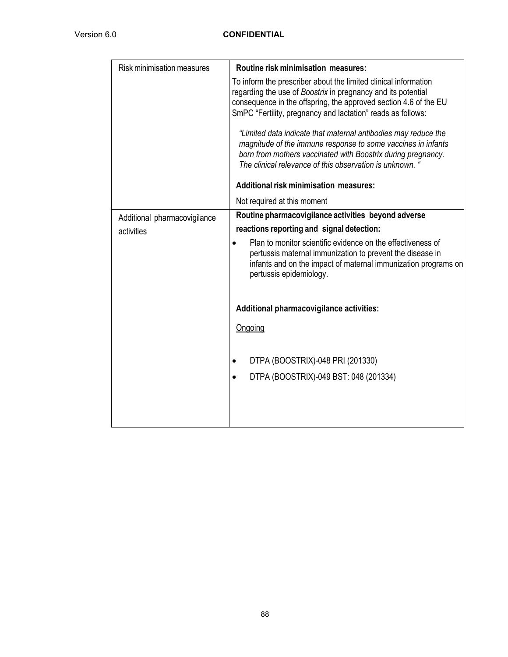| <b>Risk minimisation measures</b> | <b>Routine risk minimisation measures:</b>                                                                                                                                                                                                                         |
|-----------------------------------|--------------------------------------------------------------------------------------------------------------------------------------------------------------------------------------------------------------------------------------------------------------------|
|                                   | To inform the prescriber about the limited clinical information<br>regarding the use of Boostrix in pregnancy and its potential<br>consequence in the offspring, the approved section 4.6 of the EU<br>SmPC "Fertility, pregnancy and lactation" reads as follows: |
|                                   | "Limited data indicate that maternal antibodies may reduce the<br>magnitude of the immune response to some vaccines in infants<br>born from mothers vaccinated with Boostrix during pregnancy.<br>The clinical relevance of this observation is unknown. '         |
|                                   | <b>Additional risk minimisation measures:</b>                                                                                                                                                                                                                      |
|                                   | Not required at this moment                                                                                                                                                                                                                                        |
| Additional pharmacovigilance      | Routine pharmacovigilance activities beyond adverse                                                                                                                                                                                                                |
| activities                        | reactions reporting and signal detection:                                                                                                                                                                                                                          |
|                                   | Plan to monitor scientific evidence on the effectiveness of<br>pertussis maternal immunization to prevent the disease in<br>infants and on the impact of maternal immunization programs on<br>pertussis epidemiology.                                              |
|                                   | <b>Additional pharmacovigilance activities:</b>                                                                                                                                                                                                                    |
|                                   | Ongoing                                                                                                                                                                                                                                                            |
|                                   | DTPA (BOOSTRIX)-048 PRI (201330)<br>$\bullet$                                                                                                                                                                                                                      |
|                                   | DTPA (BOOSTRIX)-049 BST: 048 (201334)                                                                                                                                                                                                                              |
|                                   |                                                                                                                                                                                                                                                                    |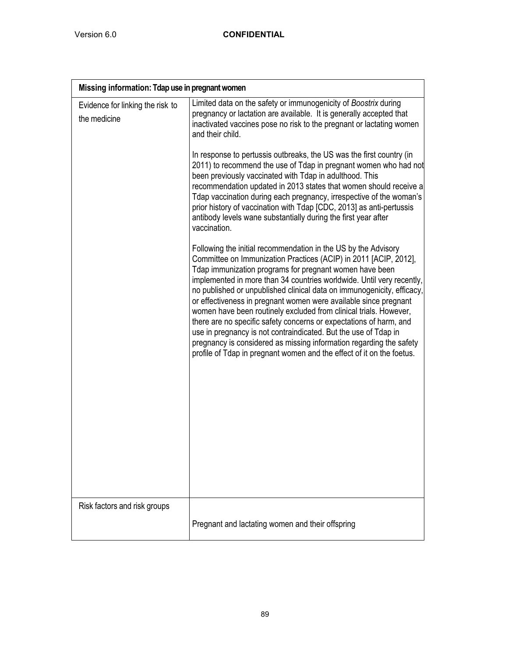| Missing information: Tdap use in pregnant women  |                                                                                                                                                                                                                                                                                                                                                                                                                                                                                                                                                                                                                                                                                                                                                                                    |
|--------------------------------------------------|------------------------------------------------------------------------------------------------------------------------------------------------------------------------------------------------------------------------------------------------------------------------------------------------------------------------------------------------------------------------------------------------------------------------------------------------------------------------------------------------------------------------------------------------------------------------------------------------------------------------------------------------------------------------------------------------------------------------------------------------------------------------------------|
| Evidence for linking the risk to<br>the medicine | Limited data on the safety or immunogenicity of Boostrix during<br>pregnancy or lactation are available. It is generally accepted that<br>inactivated vaccines pose no risk to the pregnant or lactating women<br>and their child.                                                                                                                                                                                                                                                                                                                                                                                                                                                                                                                                                 |
|                                                  | In response to pertussis outbreaks, the US was the first country (in<br>2011) to recommend the use of Tdap in pregnant women who had not<br>been previously vaccinated with Tdap in adulthood. This<br>recommendation updated in 2013 states that women should receive a<br>Tdap vaccination during each pregnancy, irrespective of the woman's<br>prior history of vaccination with Tdap [CDC, 2013] as anti-pertussis<br>antibody levels wane substantially during the first year after<br>vaccination.                                                                                                                                                                                                                                                                          |
|                                                  | Following the initial recommendation in the US by the Advisory<br>Committee on Immunization Practices (ACIP) in 2011 [ACIP, 2012],<br>Tdap immunization programs for pregnant women have been<br>implemented in more than 34 countries worldwide. Until very recently,<br>no published or unpublished clinical data on immunogenicity, efficacy,<br>or effectiveness in pregnant women were available since pregnant<br>women have been routinely excluded from clinical trials. However,<br>there are no specific safety concerns or expectations of harm, and<br>use in pregnancy is not contraindicated. But the use of Tdap in<br>pregnancy is considered as missing information regarding the safety<br>profile of Tdap in pregnant women and the effect of it on the foetus. |
| Risk factors and risk groups                     | Pregnant and lactating women and their offspring                                                                                                                                                                                                                                                                                                                                                                                                                                                                                                                                                                                                                                                                                                                                   |
|                                                  |                                                                                                                                                                                                                                                                                                                                                                                                                                                                                                                                                                                                                                                                                                                                                                                    |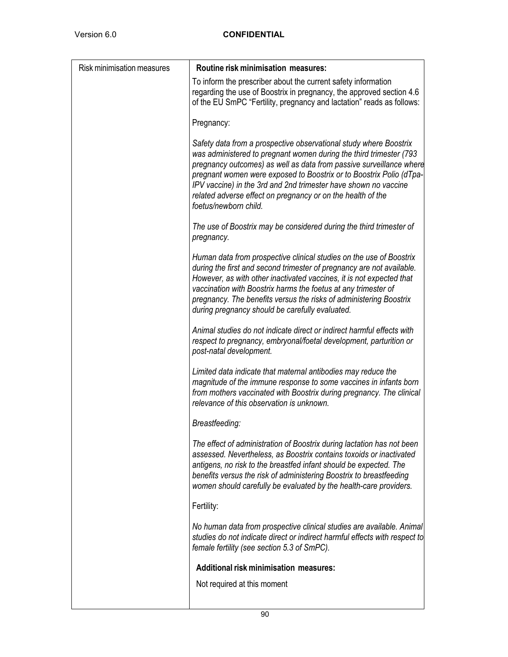$\overline{\phantom{a}}$ 

| <b>Risk minimisation measures</b> | Routine risk minimisation measures:                                                                                                                                                                                                                                                                                                                                                                                                              |
|-----------------------------------|--------------------------------------------------------------------------------------------------------------------------------------------------------------------------------------------------------------------------------------------------------------------------------------------------------------------------------------------------------------------------------------------------------------------------------------------------|
|                                   | To inform the prescriber about the current safety information<br>regarding the use of Boostrix in pregnancy, the approved section 4.6<br>of the EU SmPC "Fertility, pregnancy and lactation" reads as follows:                                                                                                                                                                                                                                   |
|                                   | Pregnancy:                                                                                                                                                                                                                                                                                                                                                                                                                                       |
|                                   | Safety data from a prospective observational study where Boostrix<br>was administered to pregnant women during the third trimester (793<br>pregnancy outcomes) as well as data from passive surveillance where<br>pregnant women were exposed to Boostrix or to Boostrix Polio (dTpa-<br>IPV vaccine) in the 3rd and 2nd trimester have shown no vaccine<br>related adverse effect on pregnancy or on the health of the<br>foetus/newborn child. |
|                                   | The use of Boostrix may be considered during the third trimester of<br>pregnancy.                                                                                                                                                                                                                                                                                                                                                                |
|                                   | Human data from prospective clinical studies on the use of Boostrix<br>during the first and second trimester of pregnancy are not available.<br>However, as with other inactivated vaccines, it is not expected that<br>vaccination with Boostrix harms the foetus at any trimester of<br>pregnancy. The benefits versus the risks of administering Boostrix<br>during pregnancy should be carefully evaluated.                                  |
|                                   | Animal studies do not indicate direct or indirect harmful effects with<br>respect to pregnancy, embryonal/foetal development, parturition or<br>post-natal development.                                                                                                                                                                                                                                                                          |
|                                   | Limited data indicate that maternal antibodies may reduce the<br>magnitude of the immune response to some vaccines in infants born<br>from mothers vaccinated with Boostrix during pregnancy. The clinical<br>relevance of this observation is unknown.                                                                                                                                                                                          |
|                                   | Breastfeeding:                                                                                                                                                                                                                                                                                                                                                                                                                                   |
|                                   | The effect of administration of Boostrix during lactation has not been<br>assessed. Nevertheless, as Boostrix contains toxoids or inactivated<br>antigens, no risk to the breastfed infant should be expected. The<br>benefits versus the risk of administering Boostrix to breastfeeding<br>women should carefully be evaluated by the health-care providers.                                                                                   |
|                                   | Fertility:                                                                                                                                                                                                                                                                                                                                                                                                                                       |
|                                   | No human data from prospective clinical studies are available. Animal<br>studies do not indicate direct or indirect harmful effects with respect to<br>female fertility (see section 5.3 of SmPC).                                                                                                                                                                                                                                               |
|                                   | <b>Additional risk minimisation measures:</b>                                                                                                                                                                                                                                                                                                                                                                                                    |
|                                   | Not required at this moment                                                                                                                                                                                                                                                                                                                                                                                                                      |
|                                   |                                                                                                                                                                                                                                                                                                                                                                                                                                                  |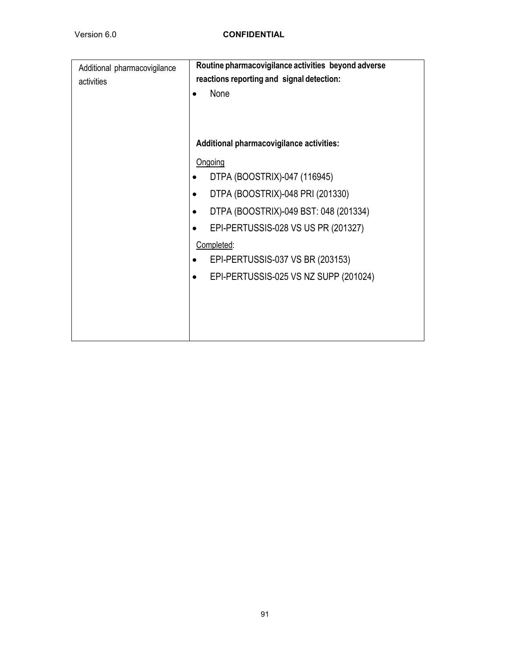| Additional pharmacovigilance<br>activities | Routine pharmacovigilance activities beyond adverse<br>reactions reporting and signal detection:<br>None |
|--------------------------------------------|----------------------------------------------------------------------------------------------------------|
|                                            | Additional pharmacovigilance activities:                                                                 |
|                                            | Ongoing                                                                                                  |
|                                            | DTPA (BOOSTRIX)-047 (116945)                                                                             |
|                                            | DTPA (BOOSTRIX)-048 PRI (201330)                                                                         |
|                                            | DTPA (BOOSTRIX)-049 BST: 048 (201334)<br>$\bullet$                                                       |
|                                            | EPI-PERTUSSIS-028 VS US PR (201327)                                                                      |
|                                            | Completed:                                                                                               |
|                                            | EPI-PERTUSSIS-037 VS BR (203153)                                                                         |
|                                            | EPI-PERTUSSIS-025 VS NZ SUPP (201024)<br>$\bullet$                                                       |
|                                            |                                                                                                          |
|                                            |                                                                                                          |
|                                            |                                                                                                          |
|                                            |                                                                                                          |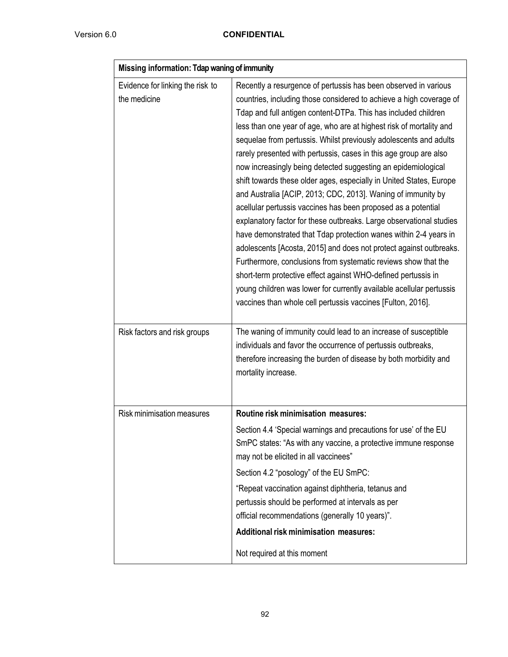| Missing information: Tdap waning of immunity     |                                                                                                                                                                                                                                                                                                                                                                                                                                                                                                                                                                                                                                                                                                                                                                                                                                                                                                                                                                                                                                                                                                                                                                                               |  |  |  |
|--------------------------------------------------|-----------------------------------------------------------------------------------------------------------------------------------------------------------------------------------------------------------------------------------------------------------------------------------------------------------------------------------------------------------------------------------------------------------------------------------------------------------------------------------------------------------------------------------------------------------------------------------------------------------------------------------------------------------------------------------------------------------------------------------------------------------------------------------------------------------------------------------------------------------------------------------------------------------------------------------------------------------------------------------------------------------------------------------------------------------------------------------------------------------------------------------------------------------------------------------------------|--|--|--|
| Evidence for linking the risk to<br>the medicine | Recently a resurgence of pertussis has been observed in various<br>countries, including those considered to achieve a high coverage of<br>Tdap and full antigen content-DTPa. This has included children<br>less than one year of age, who are at highest risk of mortality and<br>sequelae from pertussis. Whilst previously adolescents and adults<br>rarely presented with pertussis, cases in this age group are also<br>now increasingly being detected suggesting an epidemiological<br>shift towards these older ages, especially in United States, Europe<br>and Australia [ACIP, 2013; CDC, 2013]. Waning of immunity by<br>acellular pertussis vaccines has been proposed as a potential<br>explanatory factor for these outbreaks. Large observational studies<br>have demonstrated that Tdap protection wanes within 2-4 years in<br>adolescents [Acosta, 2015] and does not protect against outbreaks.<br>Furthermore, conclusions from systematic reviews show that the<br>short-term protective effect against WHO-defined pertussis in<br>young children was lower for currently available acellular pertussis<br>vaccines than whole cell pertussis vaccines [Fulton, 2016]. |  |  |  |
| Risk factors and risk groups                     | The waning of immunity could lead to an increase of susceptible<br>individuals and favor the occurrence of pertussis outbreaks,<br>therefore increasing the burden of disease by both morbidity and<br>mortality increase.                                                                                                                                                                                                                                                                                                                                                                                                                                                                                                                                                                                                                                                                                                                                                                                                                                                                                                                                                                    |  |  |  |
| <b>Risk minimisation measures</b>                | Routine risk minimisation measures:                                                                                                                                                                                                                                                                                                                                                                                                                                                                                                                                                                                                                                                                                                                                                                                                                                                                                                                                                                                                                                                                                                                                                           |  |  |  |
|                                                  | Section 4.4 'Special warnings and precautions for use' of the EU<br>SmPC states: "As with any vaccine, a protective immune response<br>may not be elicited in all vaccinees"<br>Section 4.2 "posology" of the EU SmPC:                                                                                                                                                                                                                                                                                                                                                                                                                                                                                                                                                                                                                                                                                                                                                                                                                                                                                                                                                                        |  |  |  |
|                                                  | "Repeat vaccination against diphtheria, tetanus and<br>pertussis should be performed at intervals as per<br>official recommendations (generally 10 years)".                                                                                                                                                                                                                                                                                                                                                                                                                                                                                                                                                                                                                                                                                                                                                                                                                                                                                                                                                                                                                                   |  |  |  |
|                                                  | <b>Additional risk minimisation measures:</b>                                                                                                                                                                                                                                                                                                                                                                                                                                                                                                                                                                                                                                                                                                                                                                                                                                                                                                                                                                                                                                                                                                                                                 |  |  |  |
|                                                  | Not required at this moment                                                                                                                                                                                                                                                                                                                                                                                                                                                                                                                                                                                                                                                                                                                                                                                                                                                                                                                                                                                                                                                                                                                                                                   |  |  |  |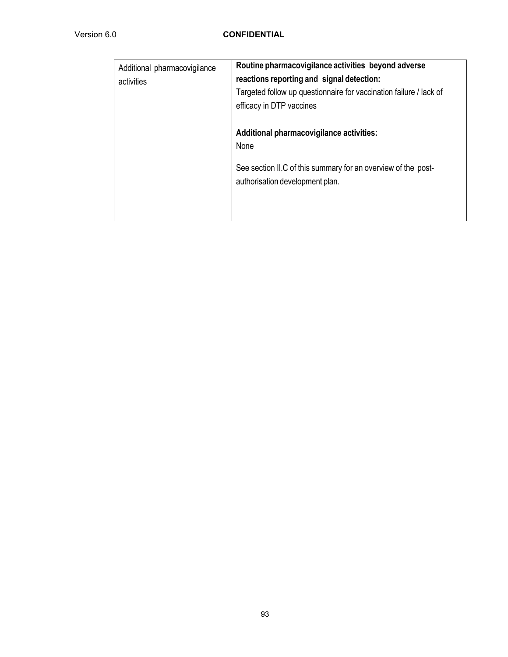| Additional pharmacovigilance<br>activities | Routine pharmacovigilance activities beyond adverse<br>reactions reporting and signal detection:<br>Targeted follow up questionnaire for vaccination failure / lack of<br>efficacy in DTP vaccines |
|--------------------------------------------|----------------------------------------------------------------------------------------------------------------------------------------------------------------------------------------------------|
|                                            | Additional pharmacovigilance activities:<br><b>None</b><br>See section II.C of this summary for an overview of the post-<br>authorisation development plan.                                        |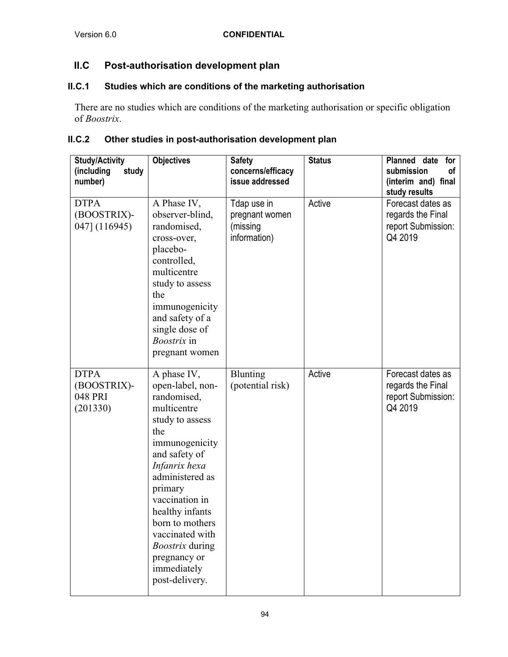## **II.C Post-authorisation development plan**

### **II.C.1 Studies which are conditions of the marketing authorisation**

There are no studies which are conditions of the marketing authorisation or specific obligation of *Boostrix*.

### **II.C.2 Other studies in post-authorisation development plan**

| <b>Study/Activity</b><br>study<br>(including<br>number) | <b>Objectives</b>                                                                                                                                                                                                                                                                                                               | <b>Safety</b><br>concerns/efficacy<br>issue addressed     | <b>Status</b> | Planned date for<br>submission<br>οf<br>(interim and) final<br>study results |
|---------------------------------------------------------|---------------------------------------------------------------------------------------------------------------------------------------------------------------------------------------------------------------------------------------------------------------------------------------------------------------------------------|-----------------------------------------------------------|---------------|------------------------------------------------------------------------------|
| <b>DTPA</b><br>(BOOSTRIX)-<br>047] (116945)             | A Phase IV,<br>observer-blind,<br>randomised,<br>cross-over,<br>placebo-<br>controlled,<br>multicentre<br>study to assess<br>the<br>immunogenicity<br>and safety of a<br>single dose of<br><i>Boostrix</i> in<br>pregnant women                                                                                                 | Tdap use in<br>pregnant women<br>(missing<br>information) | Active        | Forecast dates as<br>regards the Final<br>report Submission:<br>Q4 2019      |
| <b>DTPA</b><br>(BOOSTRIX)-<br>048 PRI<br>(201330)       | A phase IV,<br>open-label, non-<br>randomised,<br>multicentre<br>study to assess<br>the<br>immunogenicity<br>and safety of<br>Infanrix hexa<br>administered as<br>primary<br>vaccination in<br>healthy infants<br>born to mothers<br>vaccinated with<br><b>Boostrix</b> during<br>pregnancy or<br>immediately<br>post-delivery. | <b>Blunting</b><br>(potential risk)                       | Active        | Forecast dates as<br>regards the Final<br>report Submission:<br>Q4 2019      |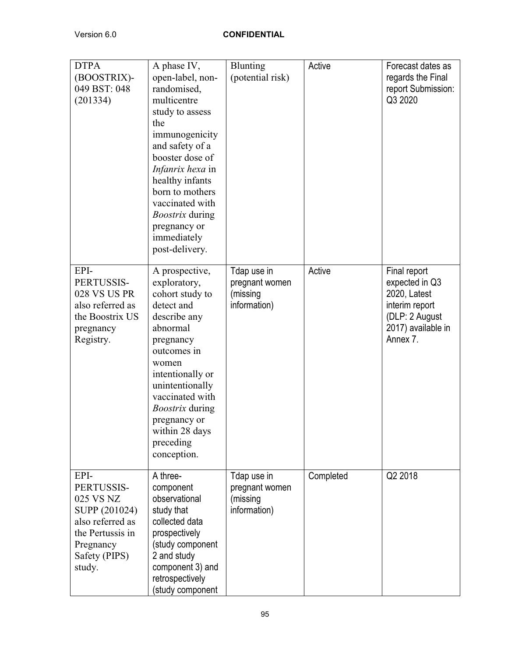| <b>DTPA</b><br>(BOOSTRIX)-<br>049 BST: 048<br>(201334)                                                                           | A phase IV,<br>open-label, non-<br>randomised,<br>multicentre<br>study to assess<br>the<br>immunogenicity<br>and safety of a<br>booster dose of<br>Infanrix hexa in<br>healthy infants<br>born to mothers<br>vaccinated with<br><i>Boostrix</i> during<br>pregnancy or<br>immediately<br>post-delivery. | Blunting<br>(potential risk)                              | Active    | Forecast dates as<br>regards the Final<br>report Submission:<br>Q3 2020                                              |
|----------------------------------------------------------------------------------------------------------------------------------|---------------------------------------------------------------------------------------------------------------------------------------------------------------------------------------------------------------------------------------------------------------------------------------------------------|-----------------------------------------------------------|-----------|----------------------------------------------------------------------------------------------------------------------|
| EPI-<br>PERTUSSIS-<br>028 VS US PR<br>also referred as<br>the Boostrix US<br>pregnancy<br>Registry.                              | A prospective,<br>exploratory,<br>cohort study to<br>detect and<br>describe any<br>abnormal<br>pregnancy<br>outcomes in<br>women<br>intentionally or<br>unintentionally<br>vaccinated with<br><i>Boostrix</i> during<br>pregnancy or<br>within 28 days<br>preceding<br>conception.                      | Tdap use in<br>pregnant women<br>(missing<br>information) | Active    | Final report<br>expected in Q3<br>2020, Latest<br>interim report<br>(DLP: 2 August<br>2017) available in<br>Annex 7. |
| EPI-<br>PERTUSSIS-<br>025 VS NZ<br>SUPP (201024)<br>also referred as<br>the Pertussis in<br>Pregnancy<br>Safety (PIPS)<br>study. | A three-<br>component<br>observational<br>study that<br>collected data<br>prospectively<br>(study component<br>2 and study<br>component 3) and<br>retrospectively<br>(study component                                                                                                                   | Tdap use in<br>pregnant women<br>(missing<br>information) | Completed | Q2 2018                                                                                                              |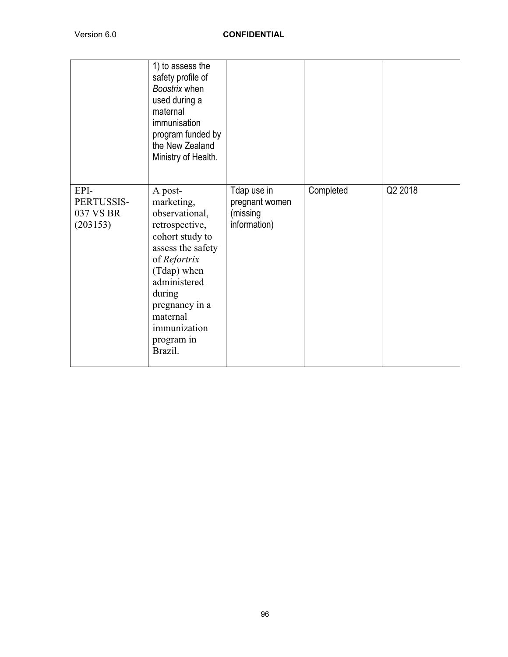|                                             | 1) to assess the<br>safety profile of<br>Boostrix when<br>used during a<br>maternal<br>immunisation<br>program funded by<br>the New Zealand<br>Ministry of Health.                                                                |                                                           |           |         |
|---------------------------------------------|-----------------------------------------------------------------------------------------------------------------------------------------------------------------------------------------------------------------------------------|-----------------------------------------------------------|-----------|---------|
| EPI-<br>PERTUSSIS-<br>037 VS BR<br>(203153) | A post-<br>marketing,<br>observational,<br>retrospective,<br>cohort study to<br>assess the safety<br>of Refortrix<br>(Tdap) when<br>administered<br>during<br>pregnancy in a<br>maternal<br>immunization<br>program in<br>Brazil. | Tdap use in<br>pregnant women<br>(missing<br>information) | Completed | Q2 2018 |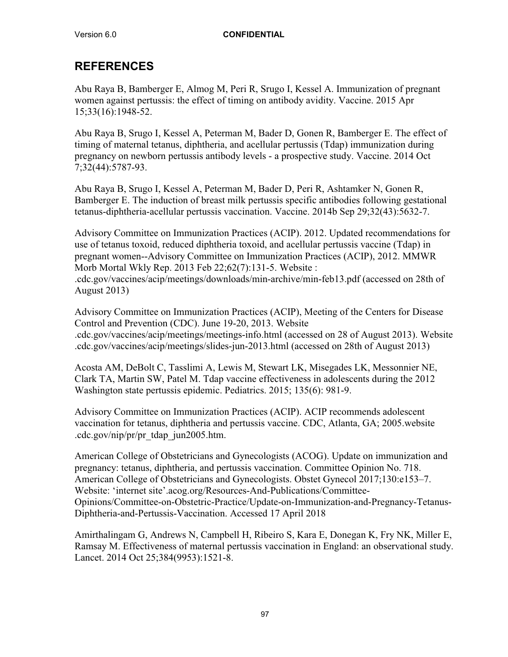# **REFERENCES**

Abu Raya B, Bamberger E, Almog M, Peri R, Srugo I, Kessel A. Immunization of pregnant women against pertussis: the effect of timing on antibody avidity. Vaccine. 2015 Apr 15;33(16):1948-52.

Abu Raya B, Srugo I, Kessel A, Peterman M, Bader D, Gonen R, Bamberger E. The effect of timing of maternal tetanus, diphtheria, and acellular pertussis (Tdap) immunization during pregnancy on newborn pertussis antibody levels - a prospective study. Vaccine. 2014 Oct 7;32(44):5787-93.

Abu Raya B, Srugo I, Kessel A, Peterman M, Bader D, Peri R, Ashtamker N, Gonen R, Bamberger E. The induction of breast milk pertussis specific antibodies following gestational tetanus-diphtheria-acellular pertussis vaccination. Vaccine. 2014b Sep 29;32(43):5632-7.

Advisory Committee on Immunization Practices (ACIP). 2012. Updated recommendations for use of tetanus toxoid, reduced diphtheria toxoid, and acellular pertussis vaccine (Tdap) in pregnant women--Advisory Committee on Immunization Practices (ACIP), 2012. MMWR Morb Mortal Wkly Rep. 2013 Feb 22;62(7):131-5. Website : .cdc.gov/vaccines/acip/meetings/downloads/min-archive/min-feb13.pdf (accessed on 28th of

August 2013)

Advisory Committee on Immunization Practices (ACIP), Meeting of the Centers for Disease Control and Prevention (CDC). June 19-20, 2013. Website .cdc.gov/vaccines/acip/meetings/meetings-info.html (accessed on 28 of August 2013). Website .cdc.gov/vaccines/acip/meetings/slides-jun-2013.html (accessed on 28th of August 2013)

Acosta AM, DeBolt C, Tasslimi A, Lewis M, Stewart LK, Misegades LK, Messonnier NE, Clark TA, Martin SW, Patel M. Tdap vaccine effectiveness in adolescents during the 2012 Washington state pertussis epidemic. Pediatrics. 2015; 135(6): 981-9.

Advisory Committee on Immunization Practices (ACIP). ACIP recommends adolescent vaccination for tetanus, diphtheria and pertussis vaccine. CDC, Atlanta, GA; 2005.website .cdc.gov/nip/pr/pr\_tdap\_jun2005.htm.

American College of Obstetricians and Gynecologists (ACOG). Update on immunization and pregnancy: tetanus, diphtheria, and pertussis vaccination. Committee Opinion No. 718. American College of Obstetricians and Gynecologists. Obstet Gynecol 2017;130:e153–7. Website: 'internet site'.acog.org/Resources-And-Publications/Committee-Opinions/Committee-on-Obstetric-Practice/Update-on-Immunization-and-Pregnancy-Tetanus-Diphtheria-and-Pertussis-Vaccination. Accessed 17 April 2018

Amirthalingam G, Andrews N, Campbell H, Ribeiro S, Kara E, Donegan K, Fry NK, Miller E, Ramsay M. Effectiveness of maternal pertussis vaccination in England: an observational study. Lancet. 2014 Oct 25;384(9953):1521-8.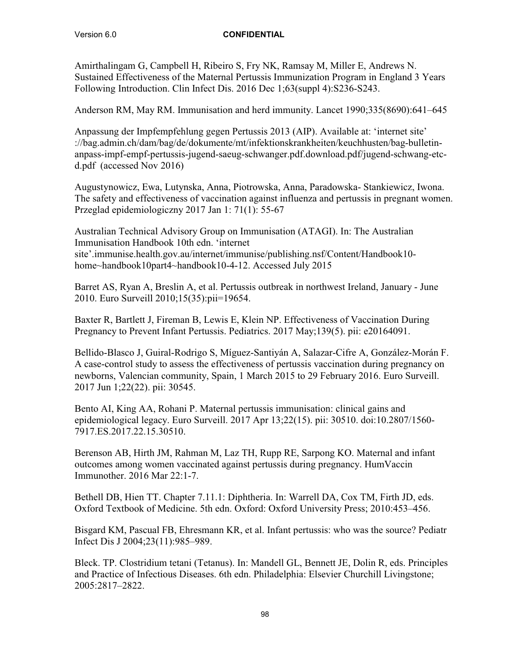Amirthalingam G, Campbell H, Ribeiro S, Fry NK, Ramsay M, Miller E, Andrews N. Sustained Effectiveness of the Maternal Pertussis Immunization Program in England 3 Years Following Introduction. Clin Infect Dis. 2016 Dec 1;63(suppl 4):S236-S243.

Anderson RM, May RM. Immunisation and herd immunity. Lancet 1990;335(8690):641–645

Anpassung der Impfempfehlung gegen Pertussis 2013 (AIP). Available at: 'internet site' ://bag.admin.ch/dam/bag/de/dokumente/mt/infektionskrankheiten/keuchhusten/bag-bulletinanpass-impf-empf-pertussis-jugend-saeug-schwanger.pdf.download.pdf/jugend-schwang-etcd.pdf (accessed Nov 2016)

Augustynowicz, Ewa, Lutynska, Anna, Piotrowska, Anna, Paradowska- Stankiewicz, Iwona. The safety and effectiveness of vaccination against influenza and pertussis in pregnant women. Przeglad epidemiologiczny 2017 Jan 1: 71(1): 55-67

Australian Technical Advisory Group on Immunisation (ATAGI). In: The Australian Immunisation Handbook 10th edn. 'internet site'.immunise.health.gov.au/internet/immunise/publishing.nsf/Content/Handbook10 home~handbook10part4~handbook10-4-12. Accessed July 2015

Barret AS, Ryan A, Breslin A, et al. Pertussis outbreak in northwest Ireland, January - June 2010. Euro Surveill 2010;15(35):pii=19654.

Baxter R, Bartlett J, Fireman B, Lewis E, Klein NP. Effectiveness of Vaccination During Pregnancy to Prevent Infant Pertussis. Pediatrics. 2017 May;139(5). pii: e20164091.

Bellido-Blasco J, Guiral-Rodrigo S, Míguez-Santiyán A, Salazar-Cifre A, González-Morán F. A case-control study to assess the effectiveness of pertussis vaccination during pregnancy on newborns, Valencian community, Spain, 1 March 2015 to 29 February 2016. Euro Surveill. 2017 Jun 1;22(22). pii: 30545.

Bento AI, King AA, Rohani P. Maternal pertussis immunisation: clinical gains and epidemiological legacy. Euro Surveill. 2017 Apr 13;22(15). pii: 30510. doi:10.2807/1560- 7917.ES.2017.22.15.30510.

Berenson AB, Hirth JM, Rahman M, Laz TH, Rupp RE, Sarpong KO. Maternal and infant outcomes among women vaccinated against pertussis during pregnancy. HumVaccin Immunother. 2016 Mar 22:1-7.

Bethell DB, Hien TT. Chapter 7.11.1: Diphtheria. In: Warrell DA, Cox TM, Firth JD, eds. Oxford Textbook of Medicine. 5th edn. Oxford: Oxford University Press; 2010:453–456.

Bisgard KM, Pascual FB, Ehresmann KR, et al. Infant pertussis: who was the source? Pediatr Infect Dis J 2004;23(11):985–989.

Bleck. TP. Clostridium tetani (Tetanus). In: Mandell GL, Bennett JE, Dolin R, eds. Principles and Practice of Infectious Diseases. 6th edn. Philadelphia: Elsevier Churchill Livingstone; 2005:2817–2822.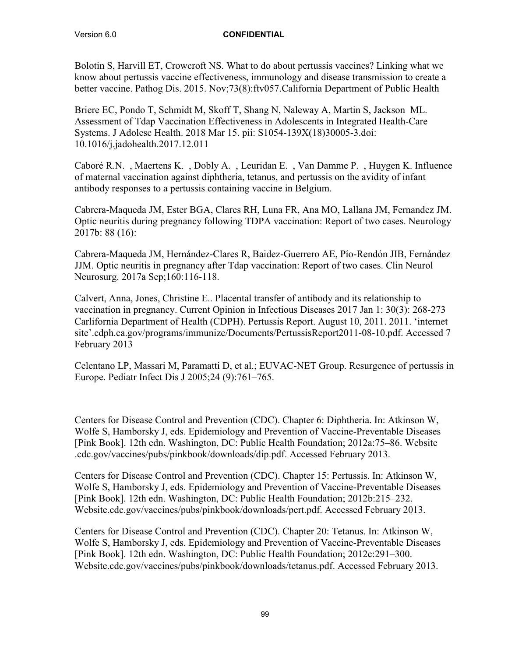Bolotin S, Harvill ET, Crowcroft NS. What to do about pertussis vaccines? Linking what we know about pertussis vaccine effectiveness, immunology and disease transmission to create a better vaccine. Pathog Dis. 2015. Nov;73(8):ftv057.California Department of Public Health

Briere EC, Pondo T, Schmidt M, Skoff T, Shang N, Naleway A, Martin S, Jackson ML. Assessment of Tdap Vaccination Effectiveness in Adolescents in Integrated Health-Care Systems. J Adolesc Health. 2018 Mar 15. pii: S1054-139X(18)30005-3.doi: 10.1016/j.jadohealth.2017.12.011

Caboré R.N. , Maertens K. , Dobly A. , Leuridan E. , Van Damme P. , Huygen K. Influence of maternal vaccination against diphtheria, tetanus, and pertussis on the avidity of infant antibody responses to a pertussis containing vaccine in Belgium.

Cabrera-Maqueda JM, Ester BGA, Clares RH, Luna FR, Ana MO, Lallana JM, Fernandez JM. Optic neuritis during pregnancy following TDPA vaccination: Report of two cases. Neurology 2017b: 88 (16):

Cabrera-Maqueda JM, Hernández-Clares R, Baidez-Guerrero AE, Pío-Rendón JIB, Fernández JJM. Optic neuritis in pregnancy after Tdap vaccination: Report of two cases. Clin Neurol Neurosurg. 2017a Sep;160:116-118.

Calvert, Anna, Jones, Christine E.. Placental transfer of antibody and its relationship to vaccination in pregnancy. Current Opinion in Infectious Diseases 2017 Jan 1: 30(3): 268-273 Carlifornia Department of Health (CDPH). Pertussis Report. August 10, 2011. 2011. 'internet site'.cdph.ca.gov/programs/immunize/Documents/PertussisReport2011-08-10.pdf. Accessed 7 February 2013

Celentano LP, Massari M, Paramatti D, et al.; EUVAC-NET Group. Resurgence of pertussis in Europe. Pediatr Infect Dis J 2005;24 (9):761–765.

Centers for Disease Control and Prevention (CDC). Chapter 6: Diphtheria. In: Atkinson W, Wolfe S, Hamborsky J, eds. Epidemiology and Prevention of Vaccine-Preventable Diseases [Pink Book]. 12th edn. Washington, DC: Public Health Foundation; 2012a:75–86. Website .cdc.gov/vaccines/pubs/pinkbook/downloads/dip.pdf. Accessed February 2013.

Centers for Disease Control and Prevention (CDC). Chapter 15: Pertussis. In: Atkinson W, Wolfe S, Hamborsky J, eds. Epidemiology and Prevention of Vaccine-Preventable Diseases [Pink Book]. 12th edn. Washington, DC: Public Health Foundation; 2012b:215–232. Website.cdc.gov/vaccines/pubs/pinkbook/downloads/pert.pdf. Accessed February 2013.

Centers for Disease Control and Prevention (CDC). Chapter 20: Tetanus. In: Atkinson W, Wolfe S, Hamborsky J, eds. Epidemiology and Prevention of Vaccine-Preventable Diseases [Pink Book]. 12th edn. Washington, DC: Public Health Foundation; 2012c:291–300. Website.cdc.gov/vaccines/pubs/pinkbook/downloads/tetanus.pdf. Accessed February 2013.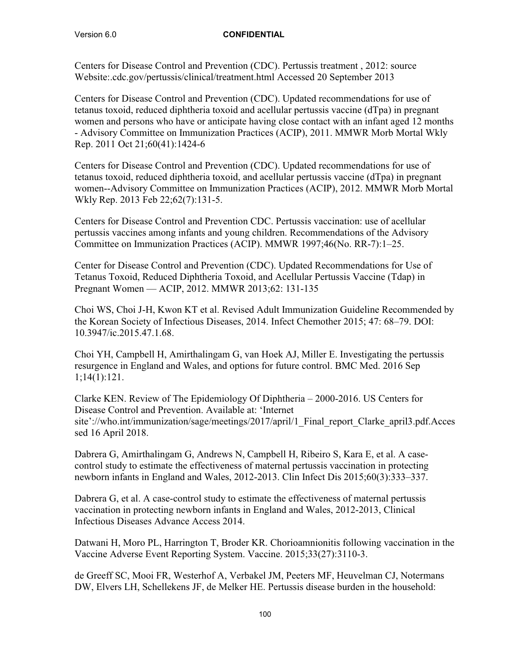Centers for Disease Control and Prevention (CDC). Pertussis treatment , 2012: source Website:.cdc.gov/pertussis/clinical/treatment.html Accessed 20 September 2013

Centers for Disease Control and Prevention (CDC). Updated recommendations for use of tetanus toxoid, reduced diphtheria toxoid and acellular pertussis vaccine (dTpa) in pregnant women and persons who have or anticipate having close contact with an infant aged 12 months - Advisory Committee on Immunization Practices (ACIP), 2011. MMWR Morb Mortal Wkly Rep. 2011 Oct 21;60(41):1424-6

Centers for Disease Control and Prevention (CDC). Updated recommendations for use of tetanus toxoid, reduced diphtheria toxoid, and acellular pertussis vaccine (dTpa) in pregnant women--Advisory Committee on Immunization Practices (ACIP), 2012. MMWR Morb Mortal Wkly Rep. 2013 Feb 22;62(7):131-5.

Centers for Disease Control and Prevention CDC. Pertussis vaccination: use of acellular pertussis vaccines among infants and young children. Recommendations of the Advisory Committee on Immunization Practices (ACIP). MMWR 1997;46(No. RR-7):1–25.

Center for Disease Control and Prevention (CDC). Updated Recommendations for Use of Tetanus Toxoid, Reduced Diphtheria Toxoid, and Acellular Pertussis Vaccine (Tdap) in Pregnant Women — ACIP, 2012. MMWR 2013;62: 131-135

Choi WS, Choi J-H, Kwon KT et al. Revised Adult Immunization Guideline Recommended by the Korean Society of Infectious Diseases, 2014. Infect Chemother 2015; 47: 68–79. DOI: 10.3947/ic.2015.47.1.68.

Choi YH, Campbell H, Amirthalingam G, van Hoek AJ, Miller E. Investigating the pertussis resurgence in England and Wales, and options for future control. BMC Med. 2016 Sep 1;14(1):121.

Clarke KEN. Review of The Epidemiology Of Diphtheria – 2000-2016. US Centers for Disease Control and Prevention. Available at: 'Internet site'://who.int/immunization/sage/meetings/2017/april/1 Final report Clarke april3.pdf.Acces sed 16 April 2018.

Dabrera G, Amirthalingam G, Andrews N, Campbell H, Ribeiro S, Kara E, et al. A casecontrol study to estimate the effectiveness of maternal pertussis vaccination in protecting newborn infants in England and Wales, 2012-2013. Clin Infect Dis 2015;60(3):333–337.

Dabrera G, et al. A case-control study to estimate the effectiveness of maternal pertussis vaccination in protecting newborn infants in England and Wales, 2012-2013, Clinical Infectious Diseases Advance Access 2014.

Datwani H, Moro PL, Harrington T, Broder KR. Chorioamnionitis following vaccination in the Vaccine Adverse Event Reporting System. Vaccine. 2015;33(27):3110-3.

de Greeff SC, Mooi FR, Westerhof A, Verbakel JM, Peeters MF, Heuvelman CJ, Notermans DW, Elvers LH, Schellekens JF, de Melker HE. Pertussis disease burden in the household: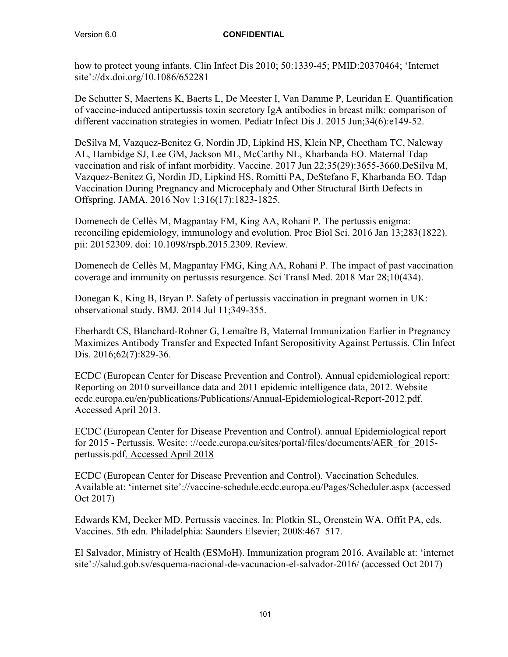how to protect young infants. Clin Infect Dis 2010; 50:1339-45; PMID:20370464; 'Internet site'://dx.doi.org/10.1086/652281

De Schutter S, Maertens K, Baerts L, De Meester I, Van Damme P, Leuridan E. Quantification of vaccine-induced antipertussis toxin secretory IgA antibodies in breast milk: comparison of different vaccination strategies in women. Pediatr Infect Dis J. 2015 Jun;34(6):e149-52.

DeSilva M, Vazquez-Benitez G, Nordin JD, Lipkind HS, Klein NP, Cheetham TC, Naleway AL, Hambidge SJ, Lee GM, Jackson ML, McCarthy NL, Kharbanda EO. Maternal Tdap vaccination and risk of infant morbidity. Vaccine. 2017 Jun 22;35(29):3655-3660.DeSilva M, Vazquez-Benitez G, Nordin JD, Lipkind HS, Romitti PA, DeStefano F, Kharbanda EO. Tdap Vaccination During Pregnancy and Microcephaly and Other Structural Birth Defects in Offspring. JAMA. 2016 Nov 1;316(17):1823-1825.

Domenech de Cellès M, Magpantay FM, King AA, Rohani P. The pertussis enigma: reconciling epidemiology, immunology and evolution. Proc Biol Sci. 2016 Jan 13;283(1822). pii: 20152309. doi: 10.1098/rspb.2015.2309. Review.

Domenech de Cellès M, Magpantay FMG, King AA, Rohani P. The impact of past vaccination coverage and immunity on pertussis resurgence. Sci Transl Med. 2018 Mar 28;10(434).

Donegan K, King B, Bryan P. Safety of pertussis vaccination in pregnant women in UK: observational study. BMJ. 2014 Jul 11;349-355.

Eberhardt CS, Blanchard-Rohner G, Lemaître B, Maternal Immunization Earlier in Pregnancy Maximizes Antibody Transfer and Expected Infant Seropositivity Against Pertussis. Clin Infect Dis. 2016;62(7):829-36.

ECDC (European Center for Disease Prevention and Control). Annual epidemiological report: Reporting on 2010 surveillance data and 2011 epidemic intelligence data, 2012. Website ecdc.europa.eu/en/publications/Publications/Annual-Epidemiological-Report-2012.pdf. Accessed April 2013.

ECDC (European Center for Disease Prevention and Control). annual Epidemiological report for 2015 - Pertussis. Wesite: ://ecdc.europa.eu/sites/portal/files/documents/AER\_for\_2015 pertussis.pdf. Accessed April 2018

ECDC (European Center for Disease Prevention and Control). Vaccination Schedules. Available at: 'internet site'://vaccine-schedule.ecdc.europa.eu/Pages/Scheduler.aspx (accessed Oct 2017)

Edwards KM, Decker MD. Pertussis vaccines. In: Plotkin SL, Orenstein WA, Offit PA, eds. Vaccines. 5th edn. Philadelphia: Saunders Elsevier; 2008:467–517.

El Salvador, Ministry of Health (ESMoH). Immunization program 2016. Available at: 'internet site'://salud.gob.sv/esquema-nacional-de-vacunacion-el-salvador-2016/ (accessed Oct 2017)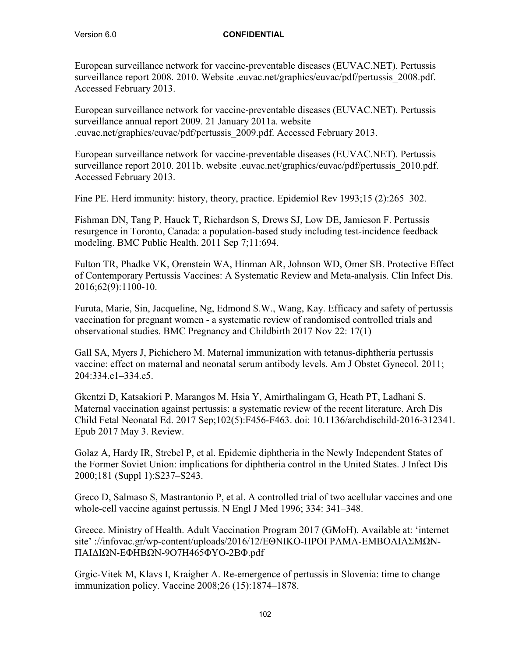European surveillance network for vaccine-preventable diseases (EUVAC.NET). Pertussis surveillance report 2008. 2010. Website .euvac.net/graphics/euvac/pdf/pertussis 2008.pdf. Accessed February 2013.

European surveillance network for vaccine-preventable diseases (EUVAC.NET). Pertussis surveillance annual report 2009. 21 January 2011a. website .euvac.net/graphics/euvac/pdf/pertussis\_2009.pdf. Accessed February 2013.

European surveillance network for vaccine-preventable diseases (EUVAC.NET). Pertussis surveillance report 2010. 2011b. website .euvac.net/graphics/euvac/pdf/pertussis 2010.pdf. Accessed February 2013.

Fine PE. Herd immunity: history, theory, practice. Epidemiol Rev 1993;15 (2):265–302.

Fishman DN, Tang P, Hauck T, Richardson S, Drews SJ, Low DE, Jamieson F. Pertussis resurgence in Toronto, Canada: a population-based study including test-incidence feedback modeling. BMC Public Health. 2011 Sep 7;11:694.

Fulton TR, Phadke VK, Orenstein WA, Hinman AR, Johnson WD, Omer SB. Protective Effect of Contemporary Pertussis Vaccines: A Systematic Review and Meta-analysis. Clin Infect Dis. 2016;62(9):1100-10.

Furuta, Marie, Sin, Jacqueline, Ng, Edmond S.W., Wang, Kay. Efficacy and safety of pertussis vaccination for pregnant women - a systematic review of randomised controlled trials and observational studies. BMC Pregnancy and Childbirth 2017 Nov 22: 17(1)

Gall SA, Myers J, Pichichero M. Maternal immunization with tetanus-diphtheria pertussis vaccine: effect on maternal and neonatal serum antibody levels. Am J Obstet Gynecol. 2011; 204:334.e1–334.e5.

Gkentzi D, Katsakiori P, Marangos M, Hsia Y, Amirthalingam G, Heath PT, Ladhani S. Maternal vaccination against pertussis: a systematic review of the recent literature. Arch Dis Child Fetal Neonatal Ed. 2017 Sep;102(5):F456-F463. doi: 10.1136/archdischild-2016-312341. Epub 2017 May 3. Review.

Golaz A, Hardy IR, Strebel P, et al. Epidemic diphtheria in the Newly Independent States of the Former Soviet Union: implications for diphtheria control in the United States. J Infect Dis 2000;181 (Suppl 1):S237–S243.

Greco D, Salmaso S, Mastrantonio P, et al. A controlled trial of two acellular vaccines and one whole-cell vaccine against pertussis. N Engl J Med 1996; 334: 341–348.

Greece. Ministry of Health. Adult Vaccination Program 2017 (GMoH). Available at: 'internet site' ://infovac.gr/wp-content/uploads/2016/12/ΕΘΝΙΚΟ-ΠΡΟΓΡΑΜΑ-ΕΜΒΟΛΙΑΣΜΩΝ-ΠΑΙΔΙΩΝ-ΕΦΗΒΩΝ-9Ο7Η465ΦΥΟ-2ΒΦ.pdf

Grgic-Vitek M, Klavs I, Kraigher A. Re-emergence of pertussis in Slovenia: time to change immunization policy. Vaccine 2008;26 (15):1874–1878.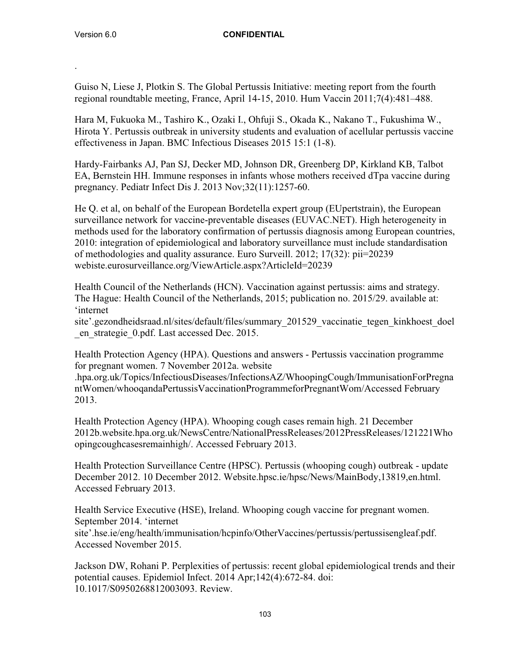.

#### Version 6.0 **CONFIDENTIAL**

Guiso N, Liese J, Plotkin S. The Global Pertussis Initiative: meeting report from the fourth regional roundtable meeting, France, April 14-15, 2010. Hum Vaccin 2011;7(4):481–488.

Hara M, Fukuoka M., Tashiro K., Ozaki I., Ohfuji S., Okada K., Nakano T., Fukushima W., Hirota Y. Pertussis outbreak in university students and evaluation of acellular pertussis vaccine effectiveness in Japan. BMC Infectious Diseases 2015 15:1 (1-8).

Hardy-Fairbanks AJ, Pan SJ, Decker MD, Johnson DR, Greenberg DP, Kirkland KB, Talbot EA, Bernstein HH. Immune responses in infants whose mothers received dTpa vaccine during pregnancy. Pediatr Infect Dis J. 2013 Nov;32(11):1257-60.

He Q. et al, on behalf of the European Bordetella expert group (EUpertstrain), the European surveillance network for vaccine-preventable diseases (EUVAC.NET). High heterogeneity in methods used for the laboratory confirmation of pertussis diagnosis among European countries, 2010: integration of epidemiological and laboratory surveillance must include standardisation of methodologies and quality assurance. Euro Surveill. 2012; 17(32): pii=20239 webiste.eurosurveillance.org/ViewArticle.aspx?ArticleId=20239

Health Council of the Netherlands (HCN). Vaccination against pertussis: aims and strategy. The Hague: Health Council of the Netherlands, 2015; publication no. 2015/29. available at: 'internet

site'.gezondheidsraad.nl/sites/default/files/summary\_201529\_vaccinatie\_tegen\_kinkhoest\_doel \_en\_strategie\_0.pdf. Last accessed Dec. 2015.

Health Protection Agency (HPA). Questions and answers - Pertussis vaccination programme for pregnant women. 7 November 2012a. website

.hpa.org.uk/Topics/InfectiousDiseases/InfectionsAZ/WhoopingCough/ImmunisationForPregna ntWomen/whooqandaPertussisVaccinationProgrammeforPregnantWom/Accessed February 2013.

Health Protection Agency (HPA). Whooping cough cases remain high. 21 December 2012b.website.hpa.org.uk/NewsCentre/NationalPressReleases/2012PressReleases/121221Who opingcoughcasesremainhigh/. Accessed February 2013.

Health Protection Surveillance Centre (HPSC). Pertussis (whooping cough) outbreak - update December 2012. 10 December 2012. Website.hpsc.ie/hpsc/News/MainBody,13819,en.html. Accessed February 2013.

Health Service Executive (HSE), Ireland. Whooping cough vaccine for pregnant women. September 2014. 'internet site'.hse.ie/eng/health/immunisation/hcpinfo/OtherVaccines/pertussis/pertussisengleaf.pdf. Accessed November 2015.

Jackson DW, Rohani P. Perplexities of pertussis: recent global epidemiological trends and their potential causes. Epidemiol Infect. 2014 Apr;142(4):672-84. doi: 10.1017/S0950268812003093. Review.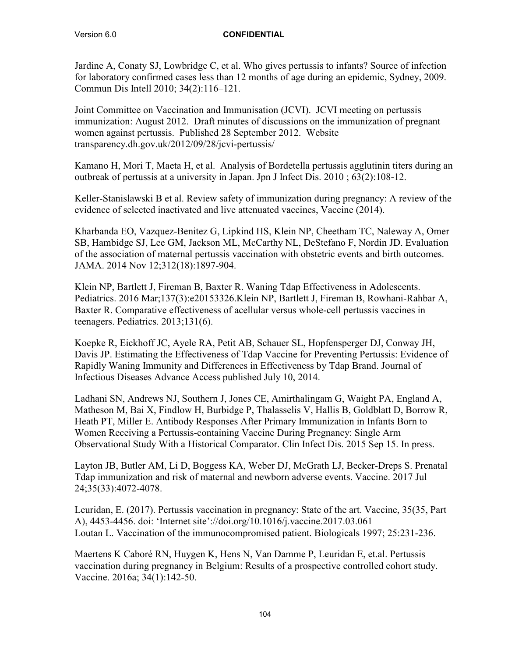Jardine A, Conaty SJ, Lowbridge C, et al. Who gives pertussis to infants? Source of infection for laboratory confirmed cases less than 12 months of age during an epidemic, Sydney, 2009. Commun Dis Intell 2010; 34(2):116–121.

Joint Committee on Vaccination and Immunisation (JCVI). JCVI meeting on pertussis immunization: August 2012. Draft minutes of discussions on the immunization of pregnant women against pertussis. Published 28 September 2012. Website transparency.dh.gov.uk/2012/09/28/jcvi-pertussis/

Kamano H, Mori T, Maeta H, et al. Analysis of Bordetella pertussis agglutinin titers during an outbreak of pertussis at a university in Japan. Jpn J Infect Dis. 2010 ; 63(2):108-12.

Keller-Stanislawski B et al. Review safety of immunization during pregnancy: A review of the evidence of selected inactivated and live attenuated vaccines, Vaccine (2014).

Kharbanda EO, Vazquez-Benitez G, Lipkind HS, Klein NP, Cheetham TC, Naleway A, Omer SB, Hambidge SJ, Lee GM, Jackson ML, McCarthy NL, DeStefano F, Nordin JD. Evaluation of the association of maternal pertussis vaccination with obstetric events and birth outcomes. JAMA. 2014 Nov 12;312(18):1897-904.

Klein NP, Bartlett J, Fireman B, Baxter R. Waning Tdap Effectiveness in Adolescents. Pediatrics. 2016 Mar;137(3):e20153326.Klein NP, Bartlett J, Fireman B, Rowhani-Rahbar A, Baxter R. Comparative effectiveness of acellular versus whole-cell pertussis vaccines in teenagers. Pediatrics. 2013;131(6).

Koepke R, Eickhoff JC, Ayele RA, Petit AB, Schauer SL, Hopfensperger DJ, Conway JH, Davis JP. Estimating the Effectiveness of Tdap Vaccine for Preventing Pertussis: Evidence of Rapidly Waning Immunity and Differences in Effectiveness by Tdap Brand. Journal of Infectious Diseases Advance Access published July 10, 2014.

Ladhani SN, Andrews NJ, Southern J, Jones CE, Amirthalingam G, Waight PA, England A, Matheson M, Bai X, Findlow H, Burbidge P, Thalasselis V, Hallis B, Goldblatt D, Borrow R, Heath PT, Miller E. Antibody Responses After Primary Immunization in Infants Born to Women Receiving a Pertussis-containing Vaccine During Pregnancy: Single Arm Observational Study With a Historical Comparator. Clin Infect Dis. 2015 Sep 15. In press.

Layton JB, Butler AM, Li D, Boggess KA, Weber DJ, McGrath LJ, Becker-Dreps S. Prenatal Tdap immunization and risk of maternal and newborn adverse events. Vaccine. 2017 Jul 24;35(33):4072-4078.

Leuridan, E. (2017). Pertussis vaccination in pregnancy: State of the art. Vaccine, 35(35, Part A), 4453-4456. doi: 'Internet site'://doi.org/10.1016/j.vaccine.2017.03.061 Loutan L. Vaccination of the immunocompromised patient. Biologicals 1997; 25:231-236.

Maertens K Caboré RN, Huygen K, Hens N, Van Damme P, Leuridan E, et.al. Pertussis vaccination during pregnancy in Belgium: Results of a prospective controlled cohort study. Vaccine. 2016a; 34(1):142-50.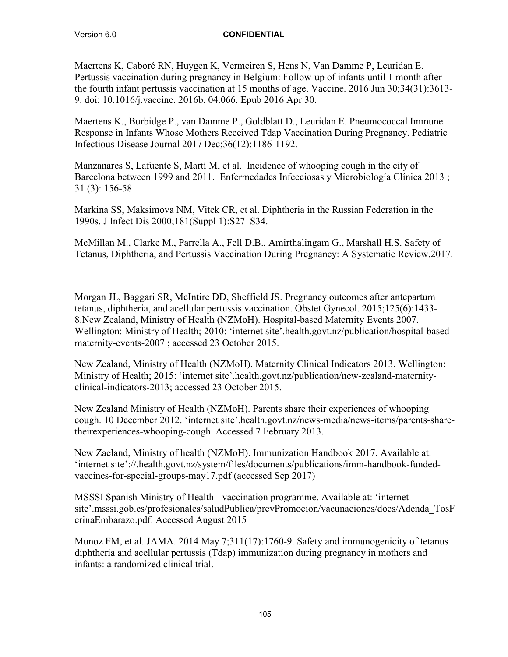Maertens K, Caboré RN, Huygen K, Vermeiren S, Hens N, Van Damme P, Leuridan E. Pertussis vaccination during pregnancy in Belgium: Follow-up of infants until 1 month after the fourth infant pertussis vaccination at 15 months of age. Vaccine. 2016 Jun 30;34(31):3613- 9. doi: 10.1016/j.vaccine. 2016b. 04.066. Epub 2016 Apr 30.

Maertens K., Burbidge P., van Damme P., Goldblatt D., Leuridan E. Pneumococcal Immune Response in Infants Whose Mothers Received Tdap Vaccination During Pregnancy. Pediatric Infectious Disease Journal 2017 Dec;36(12):1186-1192.

Manzanares S, Lafuente S, Martí M, et al. Incidence of whooping cough in the city of Barcelona between 1999 and 2011. Enfermedades Infecciosas y Microbiología Clínica 2013; 31 (3): 156-58

Markina SS, Maksimova NM, Vitek CR, et al. Diphtheria in the Russian Federation in the 1990s. J Infect Dis 2000;181(Suppl 1):S27–S34.

McMillan M., Clarke M., Parrella A., Fell D.B., Amirthalingam G., Marshall H.S. Safety of Tetanus, Diphtheria, and Pertussis Vaccination During Pregnancy: A Systematic Review.2017.

Morgan JL, Baggari SR, McIntire DD, Sheffield JS. Pregnancy outcomes after antepartum tetanus, diphtheria, and acellular pertussis vaccination. Obstet Gynecol. 2015;125(6):1433- 8.New Zealand, Ministry of Health (NZMoH). Hospital-based Maternity Events 2007. Wellington: Ministry of Health; 2010: 'internet site'.health.govt.nz/publication/hospital-basedmaternity-events-2007 ; accessed 23 October 2015.

New Zealand, Ministry of Health (NZMoH). Maternity Clinical Indicators 2013. Wellington: Ministry of Health; 2015: 'internet site'.health.govt.nz/publication/new-zealand-maternityclinical-indicators-2013; accessed 23 October 2015.

New Zealand Ministry of Health (NZMoH). Parents share their experiences of whooping cough. 10 December 2012. 'internet site'.health.govt.nz/news-media/news-items/parents-sharetheirexperiences-whooping-cough. Accessed 7 February 2013.

New Zaeland, Ministry of health (NZMoH). Immunization Handbook 2017. Available at: 'internet site'://.health.govt.nz/system/files/documents/publications/imm-handbook-fundedvaccines-for-special-groups-may17.pdf (accessed Sep 2017)

MSSSI Spanish Ministry of Health - vaccination programme. Available at: 'internet site'.msssi.gob.es/profesionales/saludPublica/prevPromocion/vacunaciones/docs/Adenda\_TosF erinaEmbarazo.pdf. Accessed August 2015

Munoz FM, et al. JAMA. 2014 May 7;311(17):1760-9. Safety and immunogenicity of tetanus diphtheria and acellular pertussis (Tdap) immunization during pregnancy in mothers and infants: a randomized clinical trial.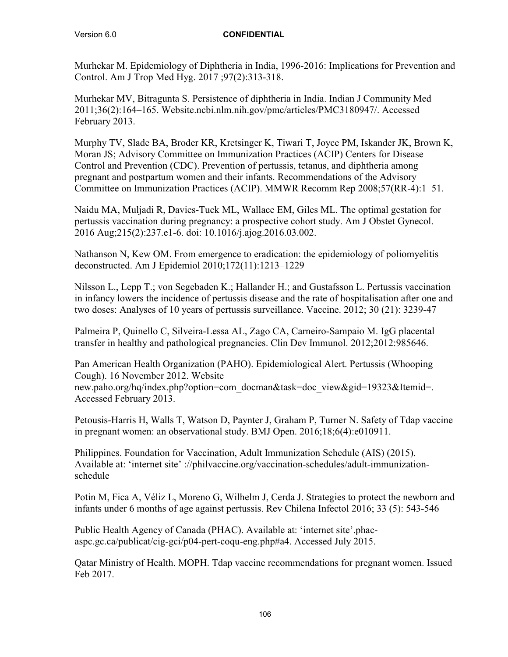Murhekar M. Epidemiology of Diphtheria in India, 1996-2016: Implications for Prevention and Control. Am J Trop Med Hyg. 2017 ;97(2):313-318.

Murhekar MV, Bitragunta S. Persistence of diphtheria in India. Indian J Community Med 2011;36(2):164–165. Website.ncbi.nlm.nih.gov/pmc/articles/PMC3180947/. Accessed February 2013.

Murphy TV, Slade BA, Broder KR, Kretsinger K, Tiwari T, Joyce PM, Iskander JK, Brown K, Moran JS; Advisory Committee on Immunization Practices (ACIP) Centers for Disease Control and Prevention (CDC). Prevention of pertussis, tetanus, and diphtheria among pregnant and postpartum women and their infants. Recommendations of the Advisory Committee on Immunization Practices (ACIP). MMWR Recomm Rep 2008;57(RR-4):1–51.

Naidu MA, Muljadi R, Davies-Tuck ML, Wallace EM, Giles ML. The optimal gestation for pertussis vaccination during pregnancy: a prospective cohort study. Am J Obstet Gynecol. 2016 Aug;215(2):237.e1-6. doi: 10.1016/j.ajog.2016.03.002.

Nathanson N, Kew OM. From emergence to eradication: the epidemiology of poliomyelitis deconstructed. Am J Epidemiol 2010;172(11):1213–1229

Nilsson L., Lepp T.; von Segebaden K.; Hallander H.; and Gustafsson L. Pertussis vaccination in infancy lowers the incidence of pertussis disease and the rate of hospitalisation after one and two doses: Analyses of 10 years of pertussis surveillance. Vaccine. 2012; 30 (21): 3239-47

Palmeira P, Quinello C, Silveira-Lessa AL, Zago CA, Carneiro-Sampaio M. IgG placental transfer in healthy and pathological pregnancies. Clin Dev Immunol. 2012;2012:985646.

Pan American Health Organization (PAHO). Epidemiological Alert. Pertussis (Whooping Cough). 16 November 2012. Website new.paho.org/hq/index.php?option=com\_docman&task=doc\_view&gid=19323&Itemid=. Accessed February 2013.

Petousis-Harris H, Walls T, Watson D, Paynter J, Graham P, Turner N. Safety of Tdap vaccine in pregnant women: an observational study. BMJ Open. 2016;18;6(4):e010911.

Philippines. Foundation for Vaccination, Adult Immunization Schedule (AIS) (2015). Available at: 'internet site' ://philvaccine.org/vaccination-schedules/adult-immunizationschedule

Potin M, Fica A, Véliz L, Moreno G, Wilhelm J, Cerda J. Strategies to protect the newborn and infants under 6 months of age against pertussis. Rev Chilena Infectol 2016; 33 (5): 543-546

Public Health Agency of Canada (PHAC). Available at: 'internet site'.phacaspc.gc.ca/publicat/cig-gci/p04-pert-coqu-eng.php#a4. Accessed July 2015.

Qatar Ministry of Health. MOPH. Tdap vaccine recommendations for pregnant women. Issued Feb 2017.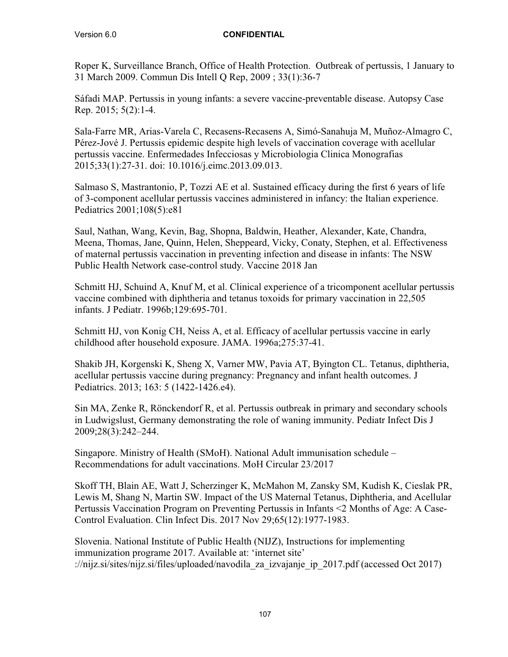Roper K, Surveillance Branch, Office of Health Protection. Outbreak of pertussis, 1 January to 31 March 2009. Commun Dis Intell Q Rep, 2009 ; 33(1):36-7

Sáfadi MAP. Pertussis in young infants: a severe vaccine-preventable disease. Autopsy Case Rep. 2015; 5(2):1-4.

Sala-Farre MR, Arias-Varela C, Recasens-Recasens A, Simó-Sanahuja M, Muñoz-Almagro C, Pérez-Jové J. Pertussis epidemic despite high levels of vaccination coverage with acellular pertussis vaccine. Enfermedades Infecciosas y Microbiologia Clinica Monografias 2015;33(1):27-31. doi: 10.1016/j.eimc.2013.09.013.

Salmaso S, Mastrantonio, P, Tozzi AE et al. Sustained efficacy during the first 6 years of life of 3-component acellular pertussis vaccines administered in infancy: the Italian experience. Pediatrics 2001;108(5):e81

Saul, Nathan, Wang, Kevin, Bag, Shopna, Baldwin, Heather, Alexander, Kate, Chandra, Meena, Thomas, Jane, Quinn, Helen, Sheppeard, Vicky, Conaty, Stephen, et al. Effectiveness of maternal pertussis vaccination in preventing infection and disease in infants: The NSW Public Health Network case-control study. Vaccine 2018 Jan

Schmitt HJ, Schuind A, Knuf M, et al. Clinical experience of a tricomponent acellular pertussis vaccine combined with diphtheria and tetanus toxoids for primary vaccination in 22,505 infants. J Pediatr. 1996b;129:695-701.

Schmitt HJ, von Konig CH, Neiss A, et al. Efficacy of acellular pertussis vaccine in early childhood after household exposure. JAMA. 1996a;275:37-41.

Shakib JH, Korgenski K, Sheng X, Varner MW, Pavia AT, Byington CL. Tetanus, diphtheria, acellular pertussis vaccine during pregnancy: Pregnancy and infant health outcomes. J Pediatrics. 2013; 163: 5 (1422-1426.e4).

Sin MA, Zenke R, Rönckendorf R, et al. Pertussis outbreak in primary and secondary schools in Ludwigslust, Germany demonstrating the role of waning immunity. Pediatr Infect Dis J 2009;28(3):242–244.

Singapore. Ministry of Health (SMoH). National Adult immunisation schedule – Recommendations for adult vaccinations. MoH Circular 23/2017

Skoff TH, Blain AE, Watt J, Scherzinger K, McMahon M, Zansky SM, Kudish K, Cieslak PR, Lewis M, Shang N, Martin SW. Impact of the US Maternal Tetanus, Diphtheria, and Acellular Pertussis Vaccination Program on Preventing Pertussis in Infants <2 Months of Age: A Case-Control Evaluation. Clin Infect Dis. 2017 Nov 29;65(12):1977-1983.

Slovenia. National Institute of Public Health (NIJZ), Instructions for implementing immunization programe 2017. Available at: 'internet site' ://nijz.si/sites/nijz.si/files/uploaded/navodila\_za\_izvajanje\_ip\_2017.pdf (accessed Oct 2017)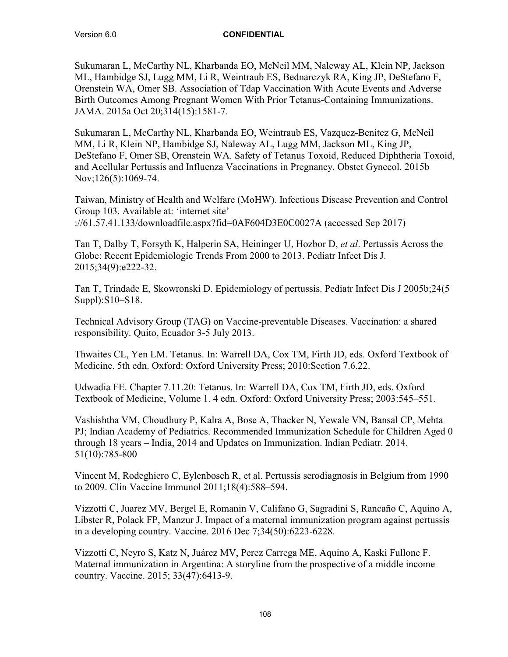Sukumaran L, McCarthy NL, Kharbanda EO, McNeil MM, Naleway AL, Klein NP, Jackson ML, Hambidge SJ, Lugg MM, Li R, Weintraub ES, Bednarczyk RA, King JP, DeStefano F, Orenstein WA, Omer SB. Association of Tdap Vaccination With Acute Events and Adverse Birth Outcomes Among Pregnant Women With Prior Tetanus-Containing Immunizations. JAMA. 2015a Oct 20;314(15):1581-7.

Sukumaran L, McCarthy NL, Kharbanda EO, Weintraub ES, Vazquez-Benitez G, McNeil MM, Li R, Klein NP, Hambidge SJ, Naleway AL, Lugg MM, Jackson ML, King JP, DeStefano F, Omer SB, Orenstein WA. Safety of Tetanus Toxoid, Reduced Diphtheria Toxoid, and Acellular Pertussis and Influenza Vaccinations in Pregnancy. Obstet Gynecol. 2015b Nov;126(5):1069-74.

Taiwan, Ministry of Health and Welfare (MoHW). Infectious Disease Prevention and Control Group 103. Available at: 'internet site' ://61.57.41.133/downloadfile.aspx?fid=0AF604D3E0C0027A (accessed Sep 2017)

Tan T, Dalby T, Forsyth K, Halperin SA, Heininger U, Hozbor D, *et al*. Pertussis Across the Globe: Recent Epidemiologic Trends From 2000 to 2013. Pediatr Infect Dis J. 2015;34(9):e222-32.

Tan T, Trindade E, Skowronski D. Epidemiology of pertussis. Pediatr Infect Dis J 2005b;24(5 Suppl):S10–S18.

Technical Advisory Group (TAG) on Vaccine-preventable Diseases. Vaccination: a shared responsibility. Quito, Ecuador 3-5 July 2013.

Thwaites CL, Yen LM. Tetanus. In: Warrell DA, Cox TM, Firth JD, eds. Oxford Textbook of Medicine. 5th edn. Oxford: Oxford University Press; 2010:Section 7.6.22.

Udwadia FE. Chapter 7.11.20: Tetanus. In: Warrell DA, Cox TM, Firth JD, eds. Oxford Textbook of Medicine, Volume 1. 4 edn. Oxford: Oxford University Press; 2003:545–551.

Vashishtha VM, Choudhury P, Kalra A, Bose A, Thacker N, Yewale VN, Bansal CP, Mehta PJ; Indian Academy of Pediatrics. Recommended Immunization Schedule for Children Aged 0 through 18 years – India, 2014 and Updates on Immunization. Indian Pediatr. 2014. 51(10):785-800

Vincent M, Rodeghiero C, Eylenbosch R, et al. Pertussis serodiagnosis in Belgium from 1990 to 2009. Clin Vaccine Immunol 2011;18(4):588–594.

Vizzotti C, Juarez MV, Bergel E, Romanin V, Califano G, Sagradini S, Rancaño C, Aquino A, Libster R, Polack FP, Manzur J. Impact of a maternal immunization program against pertussis in a developing country. Vaccine. 2016 Dec 7;34(50):6223-6228.

Vizzotti C, Neyro S, Katz N, Juárez MV, Perez Carrega ME, Aquino A, Kaski Fullone F. Maternal immunization in Argentina: A storyline from the prospective of a middle income country. Vaccine. 2015; 33(47):6413-9.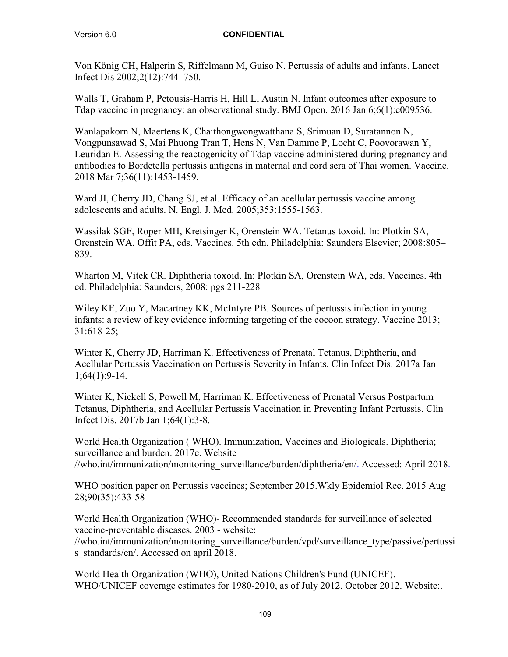Von König CH, Halperin S, Riffelmann M, Guiso N. Pertussis of adults and infants. Lancet Infect Dis 2002;2(12):744–750.

Walls T, Graham P, Petousis-Harris H, Hill L, Austin N. Infant outcomes after exposure to Tdap vaccine in pregnancy: an observational study. BMJ Open. 2016 Jan 6;6(1):e009536.

Wanlapakorn N, Maertens K, Chaithongwongwatthana S, Srimuan D, Suratannon N, Vongpunsawad S, Mai Phuong Tran T, Hens N, Van Damme P, Locht C, Poovorawan Y, Leuridan E. Assessing the reactogenicity of Tdap vaccine administered during pregnancy and antibodies to Bordetella pertussis antigens in maternal and cord sera of Thai women. Vaccine. 2018 Mar 7;36(11):1453-1459.

Ward JI, Cherry JD, Chang SJ, et al. Efficacy of an acellular pertussis vaccine among adolescents and adults. N. Engl. J. Med. 2005;353:1555-1563.

Wassilak SGF, Roper MH, Kretsinger K, Orenstein WA. Tetanus toxoid. In: Plotkin SA, Orenstein WA, Offit PA, eds. Vaccines. 5th edn. Philadelphia: Saunders Elsevier; 2008:805– 839.

Wharton M, Vitek CR. Diphtheria toxoid. In: Plotkin SA, Orenstein WA, eds. Vaccines. 4th ed. Philadelphia: Saunders, 2008: pgs 211-228

Wiley KE, Zuo Y, Macartney KK, McIntyre PB. Sources of pertussis infection in young infants: a review of key evidence informing targeting of the cocoon strategy. Vaccine 2013; 31:618-25;

Winter K, Cherry JD, Harriman K. Effectiveness of Prenatal Tetanus, Diphtheria, and Acellular Pertussis Vaccination on Pertussis Severity in Infants. Clin Infect Dis. 2017a Jan 1;64(1):9-14.

Winter K, Nickell S, Powell M, Harriman K. Effectiveness of Prenatal Versus Postpartum Tetanus, Diphtheria, and Acellular Pertussis Vaccination in Preventing Infant Pertussis. Clin Infect Dis. 2017b Jan 1;64(1):3-8.

World Health Organization ( WHO). Immunization, Vaccines and Biologicals. Diphtheria; surveillance and burden. 2017e. Website //who.int/immunization/monitoring\_surveillance/burden/diphtheria/en/. Accessed: April 2018.

WHO position paper on Pertussis vaccines; September 2015.Wkly Epidemiol Rec. 2015 Aug 28;90(35):433-58

World Health Organization (WHO)- Recommended standards for surveillance of selected vaccine-preventable diseases. 2003 - website:

//who.int/immunization/monitoring\_surveillance/burden/vpd/surveillance\_type/passive/pertussi s standards/en/. Accessed on april 2018.

World Health Organization (WHO), United Nations Children's Fund (UNICEF). WHO/UNICEF coverage estimates for 1980-2010, as of July 2012. October 2012. Website:.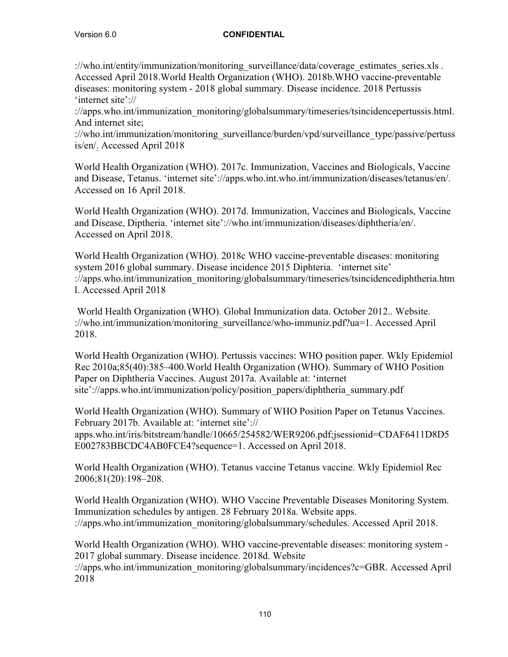://who.int/entity/immunization/monitoring\_surveillance/data/coverage\_estimates\_series.xls . Accessed April 2018.World Health Organization (WHO). 2018b.WHO vaccine-preventable diseases: monitoring system - 2018 global summary. Disease incidence. 2018 Pertussis 'internet site'://

://apps.who.int/immunization\_monitoring/globalsummary/timeseries/tsincidencepertussis.html. And internet site;

://who.int/immunization/monitoring\_surveillance/burden/vpd/surveillance\_type/passive/pertuss is/en/. Accessed April 2018

World Health Organization (WHO). 2017c. Immunization, Vaccines and Biologicals, Vaccine and Disease, Tetanus. 'internet site'://apps.who.int.who.int/immunization/diseases/tetanus/en/. Accessed on 16 April 2018.

World Health Organization (WHO). 2017d. Immunization, Vaccines and Biologicals, Vaccine and Disease, Diptheria. 'internet site'://who.int/immunization/diseases/diphtheria/en/. Accessed on April 2018.

World Health Organization (WHO). 2018c WHO vaccine-preventable diseases: monitoring system 2016 global summary. Disease incidence 2015 Diphteria. 'internet site' ://apps.who.int/immunization\_monitoring/globalsummary/timeseries/tsincidencediphtheria.htm l. Accessed April 2018

World Health Organization (WHO). Global Immunization data. October 2012.. Website. ://who.int/immunization/monitoring\_surveillance/who-immuniz.pdf?ua=1. Accessed April 2018.

World Health Organization (WHO). Pertussis vaccines: WHO position paper. Wkly Epidemiol Rec 2010a;85(40):385–400.World Health Organization (WHO). Summary of WHO Position Paper on Diphtheria Vaccines. August 2017a. Available at: 'internet site'://apps.who.int/immunization/policy/position\_papers/diphtheria\_summary.pdf

World Health Organization (WHO). Summary of WHO Position Paper on Tetanus Vaccines. February 2017b. Available at: 'internet site':// apps.who.int/iris/bitstream/handle/10665/254582/WER9206.pdf;jsessionid=CDAF6411D8D5 E002783BBCDC4AB0FCE4?sequence=1. Accessed on April 2018.

World Health Organization (WHO). Tetanus vaccine Tetanus vaccine. Wkly Epidemiol Rec 2006;81(20):198–208.

World Health Organization (WHO). WHO Vaccine Preventable Diseases Monitoring System. Immunization schedules by antigen. 28 February 2018a. Website apps. ://apps.who.int/immunization\_monitoring/globalsummary/schedules. Accessed April 2018.

World Health Organization (WHO). WHO vaccine-preventable diseases: monitoring system - 2017 global summary. Disease incidence. 2018d. Website

://apps.who.int/immunization\_monitoring/globalsummary/incidences?c=GBR. Accessed April 2018